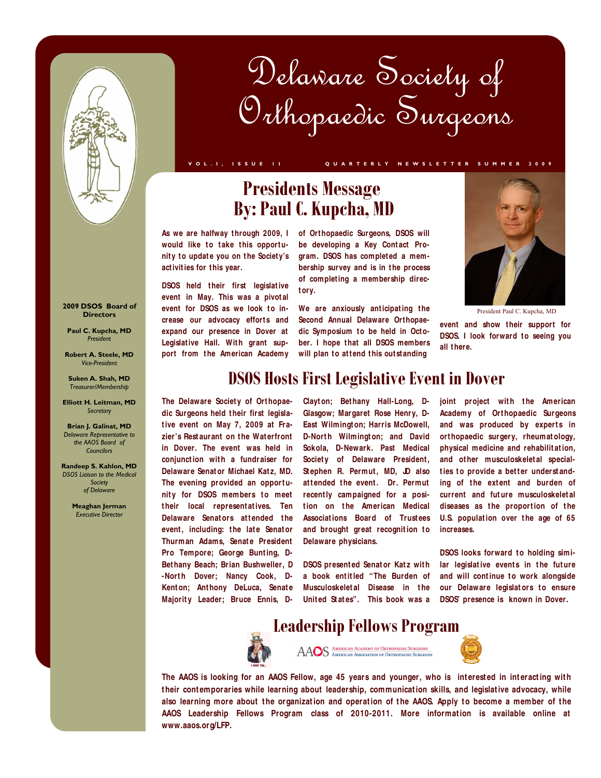

# Delaware Society of Orthopaedic Surgeons

**V O L . I , I S S U E 1 I Q U A R T E R L Y N E W S L E T T E R S U M M E R 2 0 0 9** 

# **Presidents Message By: Paul C. Kupcha, MD**

**As we are halfway t hrough 2009, I**  would like to take this opportunity to update you on the Society's **act ivit ies for t his year.** 

**DSOS** held their first legislative **event in May. This was a pivot al**  event for DSOS as we look to increase our advocacy efforts and **expand our presence in Dover at**  Legislative Hall. With grant support from the American Academy **of Ort hopaedic Surgeons, DSOS will**  be developing a Key Contact Program. DSOS has completed a membership survey and is in the process **of complet ing a membership direct ory.** 

We are anxiously anticipating the **Second Annual Delaware Orthopae**dic Symposium to be held in October. I hope that all DSOS members will plan to attend this out standing



President Paul C. Kupcha, MD

event and show their support for **DSOS.** I look forward to seeing you **all t here.** 

### **2009 DSOS Board of Directors**

**Paul C. Kupcha, MD**  *President* 

**Robert A. Steele, MD**  *Vice-President* 

**Suken A. Shah, MD**  *Treasurer/Membership* 

**Elliott H. Leitman, MD**  *Secretary* 

**Brian J. Galinat, MD**  *Delaware Representative to the AAOS Board of Councilors* 

**Randeep S. Kahlon, MD**  *DSOS Liaison to the Medical Society of Delaware* 

> **Meaghan Jerman**  *Executive Director*

## **DSOS Hosts First Legislative Event in Dover**

The Delaware Society of Orthopae**dic Surgeons held t heir first legislat ive event on May 7, 2009 at Frazier's Rest aurant on t he Wat erfront in Dover. The event was held in**  conjunction with a fundraiser for **Delaware Senat or Michael Kat z, MD.**  The evening provided an opportunity for DSOS members to meet **t heir local represent at ives. Ten Delaware Senators attended the** event, including: the late Senator **Thurman Adams, Senate President** Pro Tempore; George Bunting, D-**Bet hany Beach; Brian Bushweller, D** -North Dover; Nancy Cook, D-Kent on; Anthony DeLuca, Senate Majority Leader; Bruce Ennis, D-

**Clayt on; Bet hany Hall-Long, D-Glasgow; Margaret Rose Henry, D-East Wilmingt on; Harris McDowell, D-North Wilmington: and David Sokola, D-Newark. Past Medical**  Society of Delaware President, Stephen R. Permut, MD, JD also attended the event. Dr. Permut **recent ly campaigned for a posit ion on t he American Medical Associat ions Board of Trust ees**  and brought great recognition to **Delaware physicians.** 

**DSOS presented Senator Katz with a book ent it led "The Burden of Musculoskeletal Disease in the Unit ed St at es". This book was a** 

joint project with the American **Academy of Ort hopaedic Surgeons**  and was produced by experts in **ort hopaedic surgery, rheumat ology, physical medicine and rehabilit at ion, and ot her musculoskelet al special**ties to provide a better understanding of the extent and burden of **current and fut ure musculoskelet al**  diseases as the proportion of the **U.S.** population over the age of 65 **increases.** 

**DSOS looks forward to holding simi**lar legislative events in the future and will continue to work alongside **our Delaware legislators to ensure DSOS' presence is known in Dover.** 



**Leadership Fellows Program**  AAOS AMERICAN AGADEMY OF ORTHOPAEDIC SURGEONS



The AAOS is looking for an AAOS Fellow, age 45 years and younger, who is interested in interacting with **t heir cont emporaries while learning about leadership, communicat ion skills, and legislat ive advocacy, while**  also learning more about the organization and operation of the AAOS. Apply to become a member of the AAOS Leadership Fellows Program class of 2010-2011. More information is available online at **www.aaos.org/LFP.**